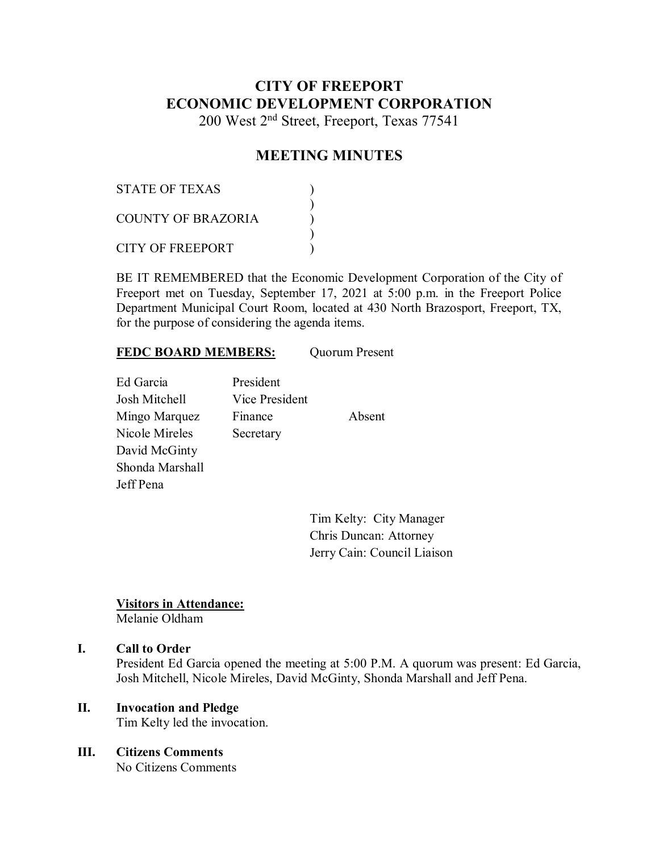# **CITY OF FREEPORT ECONOMIC DEVELOPMENT CORPORATION**

200 West 2nd Street, Freeport, Texas 77541

## **MEETING MINUTES**

| STATE OF TEXAS     |  |
|--------------------|--|
| COUNTY OF BRAZORIA |  |
| CITY OF FREEPORT   |  |

BE IT REMEMBERED that the Economic Development Corporation of the City of Freeport met on Tuesday, September 17, 2021 at 5:00 p.m. in the Freeport Police Department Municipal Court Room, located at 430 North Brazosport, Freeport, TX, for the purpose of considering the agenda items.

## **FEDC BOARD MEMBERS:** Quorum Present

Ed Garcia President Josh Mitchell Vice President Mingo Marquez Finance Absent Nicole Mireles Secretary David McGinty Shonda Marshall Jeff Pena

Tim Kelty: City Manager Chris Duncan: Attorney Jerry Cain: Council Liaison

## **Visitors in Attendance:**

Melanie Oldham

## **I. Call to Order**

President Ed Garcia opened the meeting at 5:00 P.M. A quorum was present: Ed Garcia, Josh Mitchell, Nicole Mireles, David McGinty, Shonda Marshall and Jeff Pena.

## **II. Invocation and Pledge**

Tim Kelty led the invocation.

## **III. Citizens Comments**

No Citizens Comments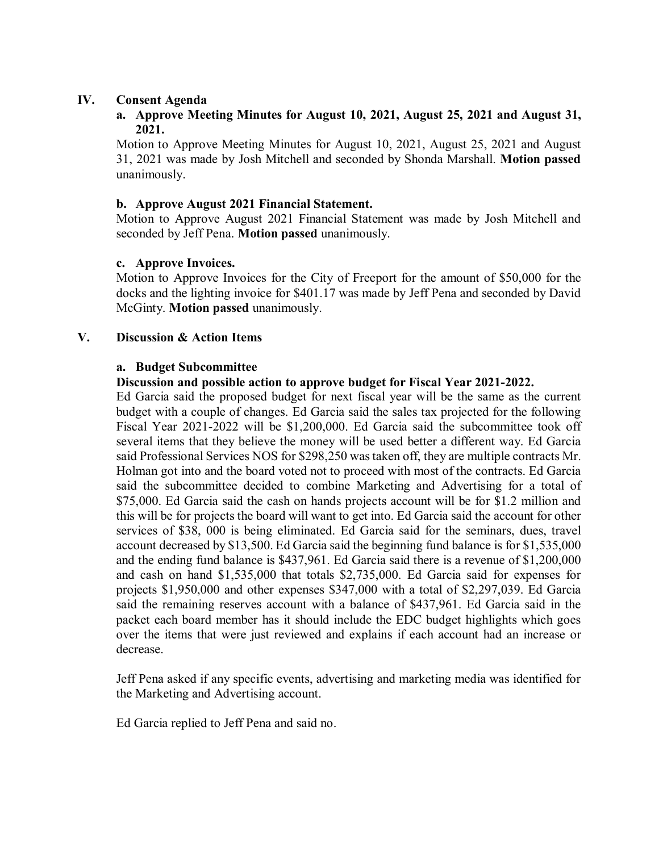## **IV. Consent Agenda**

## **a. Approve Meeting Minutes for August 10, 2021, August 25, 2021 and August 31, 2021.**

Motion to Approve Meeting Minutes for August 10, 2021, August 25, 2021 and August 31, 2021 was made by Josh Mitchell and seconded by Shonda Marshall. **Motion passed**  unanimously.

## **b. Approve August 2021 Financial Statement.**

Motion to Approve August 2021 Financial Statement was made by Josh Mitchell and seconded by Jeff Pena. **Motion passed** unanimously.

## **c. Approve Invoices.**

Motion to Approve Invoices for the City of Freeport for the amount of \$50,000 for the docks and the lighting invoice for \$401.17 was made by Jeff Pena and seconded by David McGinty. **Motion passed** unanimously.

## **V. Discussion & Action Items**

#### **a. Budget Subcommittee**

## **Discussion and possible action to approve budget for Fiscal Year 2021-2022.**

Ed Garcia said the proposed budget for next fiscal year will be the same as the current budget with a couple of changes. Ed Garcia said the sales tax projected for the following Fiscal Year 2021-2022 will be \$1,200,000. Ed Garcia said the subcommittee took off several items that they believe the money will be used better a different way. Ed Garcia said Professional Services NOS for \$298,250 was taken off, they are multiple contracts Mr. Holman got into and the board voted not to proceed with most of the contracts. Ed Garcia said the subcommittee decided to combine Marketing and Advertising for a total of \$75,000. Ed Garcia said the cash on hands projects account will be for \$1.2 million and this will be for projects the board will want to get into. Ed Garcia said the account for other services of \$38, 000 is being eliminated. Ed Garcia said for the seminars, dues, travel account decreased by \$13,500. Ed Garcia said the beginning fund balance is for \$1,535,000 and the ending fund balance is \$437,961. Ed Garcia said there is a revenue of \$1,200,000 and cash on hand \$1,535,000 that totals \$2,735,000. Ed Garcia said for expenses for projects \$1,950,000 and other expenses \$347,000 with a total of \$2,297,039. Ed Garcia said the remaining reserves account with a balance of \$437,961. Ed Garcia said in the packet each board member has it should include the EDC budget highlights which goes over the items that were just reviewed and explains if each account had an increase or decrease.

Jeff Pena asked if any specific events, advertising and marketing media was identified for the Marketing and Advertising account.

Ed Garcia replied to Jeff Pena and said no.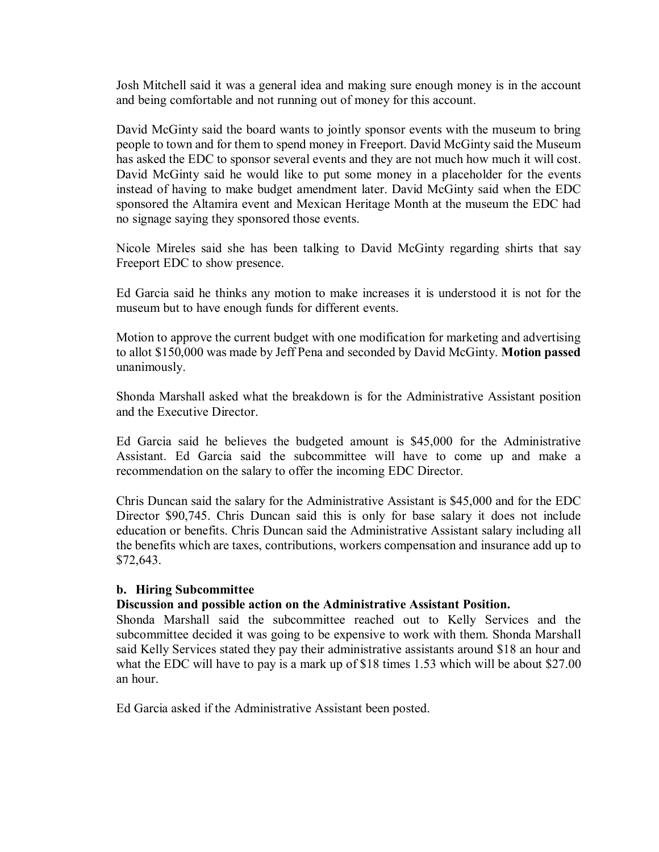Josh Mitchell said it was a general idea and making sure enough money is in the account and being comfortable and not running out of money for this account.

David McGinty said the board wants to jointly sponsor events with the museum to bring people to town and for them to spend money in Freeport. David McGinty said the Museum has asked the EDC to sponsor several events and they are not much how much it will cost. David McGinty said he would like to put some money in a placeholder for the events instead of having to make budget amendment later. David McGinty said when the EDC sponsored the Altamira event and Mexican Heritage Month at the museum the EDC had no signage saying they sponsored those events.

Nicole Mireles said she has been talking to David McGinty regarding shirts that say Freeport EDC to show presence.

Ed Garcia said he thinks any motion to make increases it is understood it is not for the museum but to have enough funds for different events.

Motion to approve the current budget with one modification for marketing and advertising to allot \$150,000 was made by Jeff Pena and seconded by David McGinty. **Motion passed**  unanimously.

Shonda Marshall asked what the breakdown is for the Administrative Assistant position and the Executive Director.

Ed Garcia said he believes the budgeted amount is \$45,000 for the Administrative Assistant. Ed Garcia said the subcommittee will have to come up and make a recommendation on the salary to offer the incoming EDC Director.

Chris Duncan said the salary for the Administrative Assistant is \$45,000 and for the EDC Director \$90,745. Chris Duncan said this is only for base salary it does not include education or benefits. Chris Duncan said the Administrative Assistant salary including all the benefits which are taxes, contributions, workers compensation and insurance add up to \$72,643.

## **b. Hiring Subcommittee**

## **Discussion and possible action on the Administrative Assistant Position.**

Shonda Marshall said the subcommittee reached out to Kelly Services and the subcommittee decided it was going to be expensive to work with them. Shonda Marshall said Kelly Services stated they pay their administrative assistants around \$18 an hour and what the EDC will have to pay is a mark up of \$18 times 1.53 which will be about \$27.00 an hour.

Ed Garcia asked if the Administrative Assistant been posted.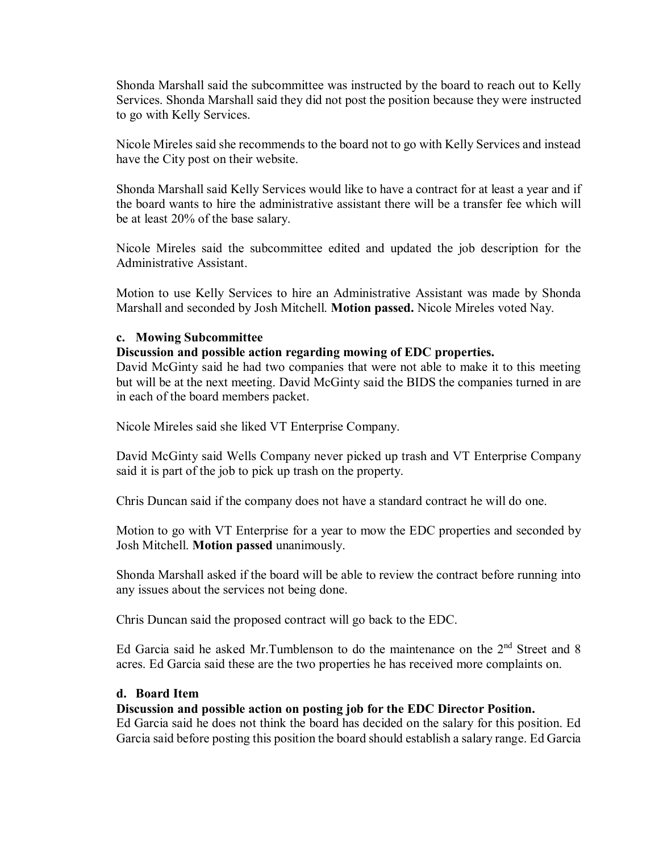Shonda Marshall said the subcommittee was instructed by the board to reach out to Kelly Services. Shonda Marshall said they did not post the position because they were instructed to go with Kelly Services.

Nicole Mireles said she recommends to the board not to go with Kelly Services and instead have the City post on their website.

Shonda Marshall said Kelly Services would like to have a contract for at least a year and if the board wants to hire the administrative assistant there will be a transfer fee which will be at least 20% of the base salary.

Nicole Mireles said the subcommittee edited and updated the job description for the Administrative Assistant.

Motion to use Kelly Services to hire an Administrative Assistant was made by Shonda Marshall and seconded by Josh Mitchell. **Motion passed.** Nicole Mireles voted Nay.

## **c. Mowing Subcommittee**

## **Discussion and possible action regarding mowing of EDC properties.**

David McGinty said he had two companies that were not able to make it to this meeting but will be at the next meeting. David McGinty said the BIDS the companies turned in are in each of the board members packet.

Nicole Mireles said she liked VT Enterprise Company.

David McGinty said Wells Company never picked up trash and VT Enterprise Company said it is part of the job to pick up trash on the property.

Chris Duncan said if the company does not have a standard contract he will do one.

Motion to go with VT Enterprise for a year to mow the EDC properties and seconded by Josh Mitchell. **Motion passed** unanimously.

Shonda Marshall asked if the board will be able to review the contract before running into any issues about the services not being done.

Chris Duncan said the proposed contract will go back to the EDC.

Ed Garcia said he asked Mr.Tumblenson to do the maintenance on the  $2<sup>nd</sup>$  Street and 8 acres. Ed Garcia said these are the two properties he has received more complaints on.

## **d. Board Item**

## **Discussion and possible action on posting job for the EDC Director Position.**

Ed Garcia said he does not think the board has decided on the salary for this position. Ed Garcia said before posting this position the board should establish a salary range. Ed Garcia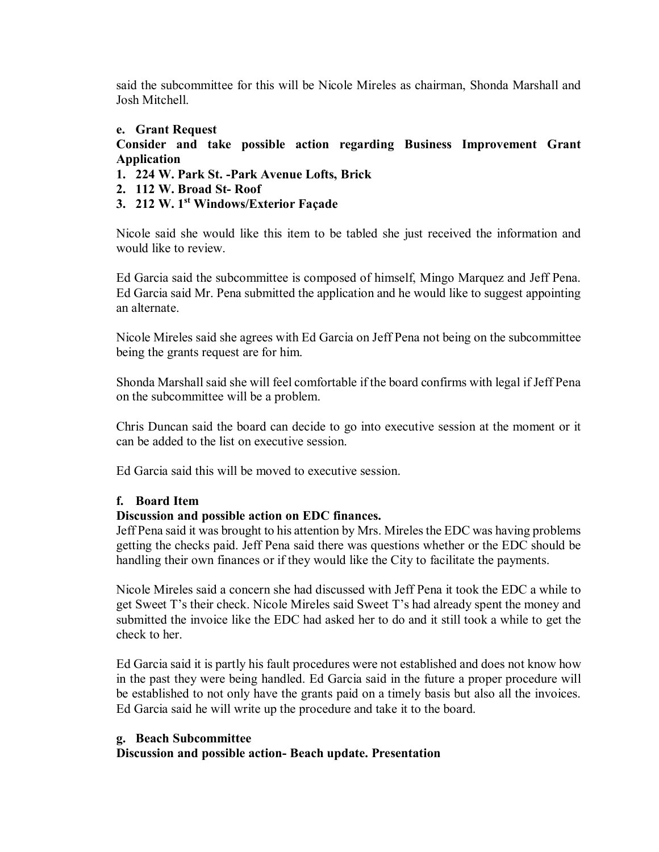said the subcommittee for this will be Nicole Mireles as chairman, Shonda Marshall and Josh Mitchell.

## **e. Grant Request**

## **Consider and take possible action regarding Business Improvement Grant Application**

- **1. 224 W. Park St. -Park Avenue Lofts, Brick**
- **2. 112 W. Broad St- Roof**
- **3. 212 W. 1st Windows/Exterior Façade**

Nicole said she would like this item to be tabled she just received the information and would like to review.

Ed Garcia said the subcommittee is composed of himself, Mingo Marquez and Jeff Pena. Ed Garcia said Mr. Pena submitted the application and he would like to suggest appointing an alternate.

Nicole Mireles said she agrees with Ed Garcia on Jeff Pena not being on the subcommittee being the grants request are for him.

Shonda Marshall said she will feel comfortable if the board confirms with legal if Jeff Pena on the subcommittee will be a problem.

Chris Duncan said the board can decide to go into executive session at the moment or it can be added to the list on executive session.

Ed Garcia said this will be moved to executive session.

## **f. Board Item**

## **Discussion and possible action on EDC finances.**

Jeff Pena said it was brought to his attention by Mrs. Mireles the EDC was having problems getting the checks paid. Jeff Pena said there was questions whether or the EDC should be handling their own finances or if they would like the City to facilitate the payments.

Nicole Mireles said a concern she had discussed with Jeff Pena it took the EDC a while to get Sweet T's their check. Nicole Mireles said Sweet T's had already spent the money and submitted the invoice like the EDC had asked her to do and it still took a while to get the check to her.

Ed Garcia said it is partly his fault procedures were not established and does not know how in the past they were being handled. Ed Garcia said in the future a proper procedure will be established to not only have the grants paid on a timely basis but also all the invoices. Ed Garcia said he will write up the procedure and take it to the board.

## **g. Beach Subcommittee**

## **Discussion and possible action- Beach update. Presentation**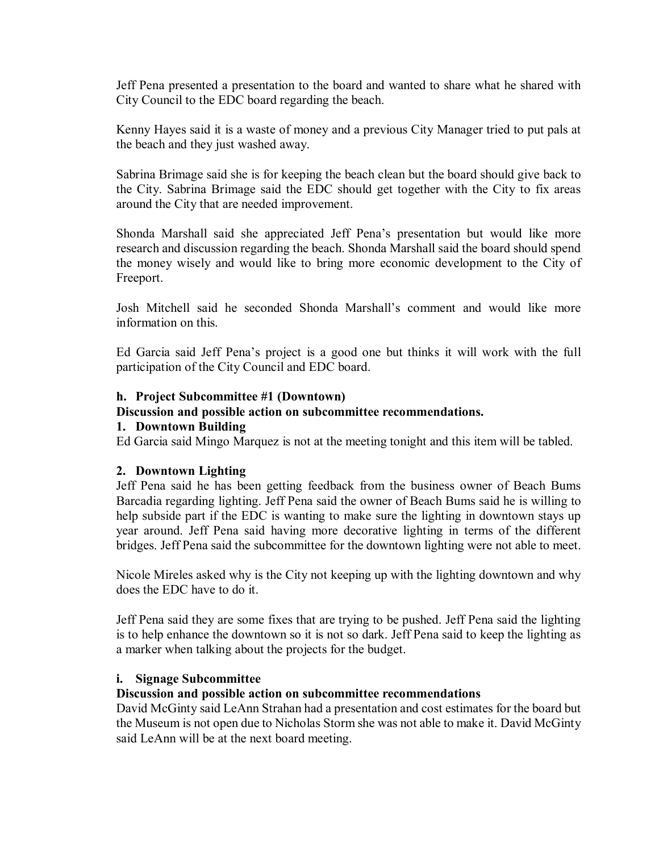Jeff Pena presented a presentation to the board and wanted to share what he shared with City Council to the EDC board regarding the beach.

Kenny Hayes said it is a waste of money and a previous City Manager tried to put pals at the beach and they just washed away.

Sabrina Brimage said she is for keeping the beach clean but the board should give back to the City. Sabrina Brimage said the EDC should get together with the City to fix areas around the City that are needed improvement.

Shonda Marshall said she appreciated Jeff Pena's presentation but would like more research and discussion regarding the beach. Shonda Marshall said the board should spend the money wisely and would like to bring more economic development to the City of Freeport.

Josh Mitchell said he seconded Shonda Marshall's comment and would like more information on this.

Ed Garcia said Jeff Pena's project is a good one but thinks it will work with the full participation of the City Council and EDC board.

## **h. Project Subcommittee #1 (Downtown)**

## **Discussion and possible action on subcommittee recommendations.**

## **1. Downtown Building**

Ed Garcia said Mingo Marquez is not at the meeting tonight and this item will be tabled.

## **2. Downtown Lighting**

Jeff Pena said he has been getting feedback from the business owner of Beach Bums Barcadia regarding lighting. Jeff Pena said the owner of Beach Bums said he is willing to help subside part if the EDC is wanting to make sure the lighting in downtown stays up year around. Jeff Pena said having more decorative lighting in terms of the different bridges. Jeff Pena said the subcommittee for the downtown lighting were not able to meet.

Nicole Mireles asked why is the City not keeping up with the lighting downtown and why does the EDC have to do it.

Jeff Pena said they are some fixes that are trying to be pushed. Jeff Pena said the lighting is to help enhance the downtown so it is not so dark. Jeff Pena said to keep the lighting as a marker when talking about the projects for the budget.

## **i. Signage Subcommittee**

## **Discussion and possible action on subcommittee recommendations**

David McGinty said LeAnn Strahan had a presentation and cost estimates for the board but the Museum is not open due to Nicholas Storm she was not able to make it. David McGinty said LeAnn will be at the next board meeting.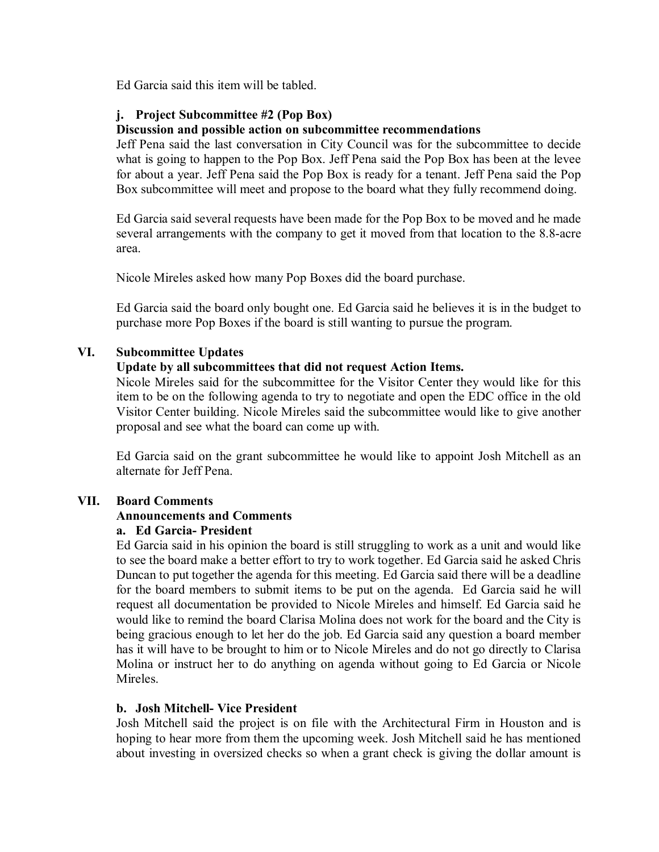Ed Garcia said this item will be tabled.

## **j. Project Subcommittee #2 (Pop Box)**

## **Discussion and possible action on subcommittee recommendations**

Jeff Pena said the last conversation in City Council was for the subcommittee to decide what is going to happen to the Pop Box. Jeff Pena said the Pop Box has been at the levee for about a year. Jeff Pena said the Pop Box is ready for a tenant. Jeff Pena said the Pop Box subcommittee will meet and propose to the board what they fully recommend doing.

Ed Garcia said several requests have been made for the Pop Box to be moved and he made several arrangements with the company to get it moved from that location to the 8.8-acre area.

Nicole Mireles asked how many Pop Boxes did the board purchase.

Ed Garcia said the board only bought one. Ed Garcia said he believes it is in the budget to purchase more Pop Boxes if the board is still wanting to pursue the program.

## **VI. Subcommittee Updates**

## **Update by all subcommittees that did not request Action Items.**

Nicole Mireles said for the subcommittee for the Visitor Center they would like for this item to be on the following agenda to try to negotiate and open the EDC office in the old Visitor Center building. Nicole Mireles said the subcommittee would like to give another proposal and see what the board can come up with.

Ed Garcia said on the grant subcommittee he would like to appoint Josh Mitchell as an alternate for Jeff Pena.

## **VII. Board Comments**

## **Announcements and Comments**

## **a. Ed Garcia- President**

Ed Garcia said in his opinion the board is still struggling to work as a unit and would like to see the board make a better effort to try to work together. Ed Garcia said he asked Chris Duncan to put together the agenda for this meeting. Ed Garcia said there will be a deadline for the board members to submit items to be put on the agenda. Ed Garcia said he will request all documentation be provided to Nicole Mireles and himself. Ed Garcia said he would like to remind the board Clarisa Molina does not work for the board and the City is being gracious enough to let her do the job. Ed Garcia said any question a board member has it will have to be brought to him or to Nicole Mireles and do not go directly to Clarisa Molina or instruct her to do anything on agenda without going to Ed Garcia or Nicole Mireles.

## **b. Josh Mitchell- Vice President**

Josh Mitchell said the project is on file with the Architectural Firm in Houston and is hoping to hear more from them the upcoming week. Josh Mitchell said he has mentioned about investing in oversized checks so when a grant check is giving the dollar amount is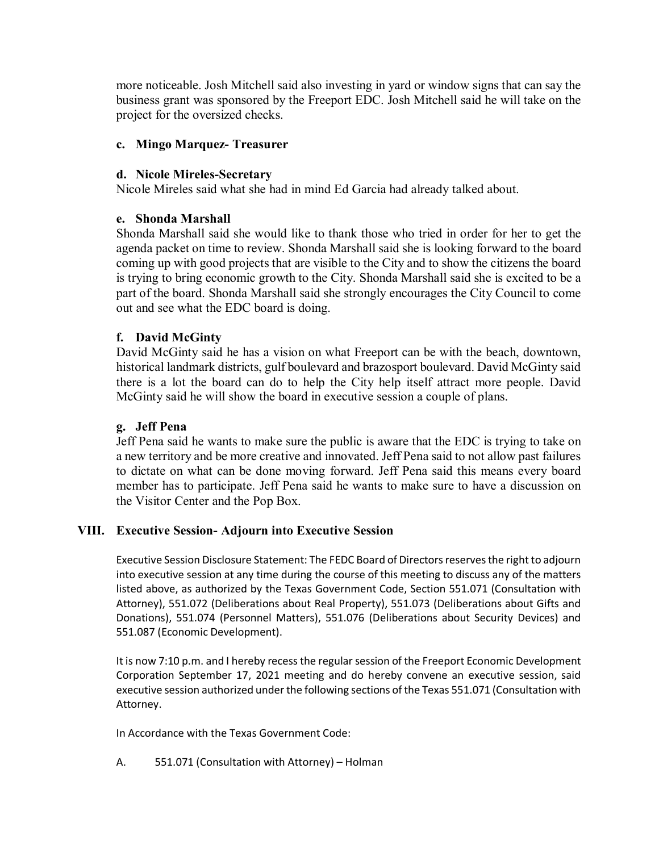more noticeable. Josh Mitchell said also investing in yard or window signs that can say the business grant was sponsored by the Freeport EDC. Josh Mitchell said he will take on the project for the oversized checks.

## **c. Mingo Marquez- Treasurer**

## **d. Nicole Mireles-Secretary**

Nicole Mireles said what she had in mind Ed Garcia had already talked about.

## **e. Shonda Marshall**

Shonda Marshall said she would like to thank those who tried in order for her to get the agenda packet on time to review. Shonda Marshall said she is looking forward to the board coming up with good projects that are visible to the City and to show the citizens the board is trying to bring economic growth to the City. Shonda Marshall said she is excited to be a part of the board. Shonda Marshall said she strongly encourages the City Council to come out and see what the EDC board is doing.

## **f. David McGinty**

David McGinty said he has a vision on what Freeport can be with the beach, downtown, historical landmark districts, gulf boulevard and brazosport boulevard. David McGinty said there is a lot the board can do to help the City help itself attract more people. David McGinty said he will show the board in executive session a couple of plans.

## **g. Jeff Pena**

Jeff Pena said he wants to make sure the public is aware that the EDC is trying to take on a new territory and be more creative and innovated. Jeff Pena said to not allow past failures to dictate on what can be done moving forward. Jeff Pena said this means every board member has to participate. Jeff Pena said he wants to make sure to have a discussion on the Visitor Center and the Pop Box.

## **VIII. Executive Session- Adjourn into Executive Session**

Executive Session Disclosure Statement: The FEDC Board of Directors reserves the right to adjourn into executive session at any time during the course of this meeting to discuss any of the matters listed above, as authorized by the Texas Government Code, Section 551.071 (Consultation with Attorney), 551.072 (Deliberations about Real Property), 551.073 (Deliberations about Gifts and Donations), 551.074 (Personnel Matters), 551.076 (Deliberations about Security Devices) and 551.087 (Economic Development).

It is now 7:10 p.m. and I hereby recess the regular session of the Freeport Economic Development Corporation September 17, 2021 meeting and do hereby convene an executive session, said executive session authorized under the following sections of the Texas 551.071 (Consultation with Attorney.

In Accordance with the Texas Government Code:

A. 551.071 (Consultation with Attorney) – Holman